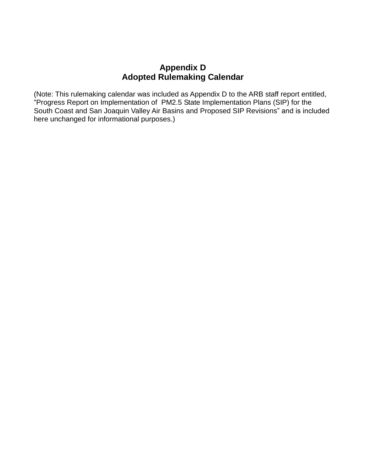## **Appendix D Adopted Rulemaking Calendar**

(Note: This rulemaking calendar was included as Appendix D to the ARB staff report entitled, "Progress Report on Implementation of PM2.5 State Implementation Plans (SIP) for the South Coast and San Joaquin Valley Air Basins and Proposed SIP Revisions" and is included here unchanged for informational purposes.)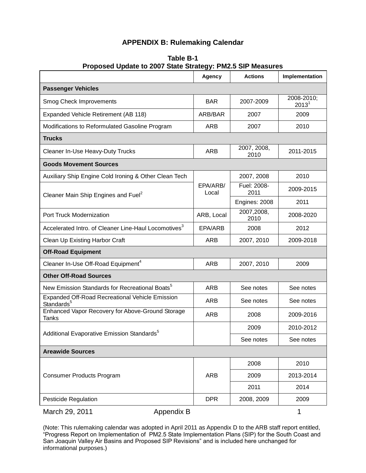## **APPENDIX B: Rulemaking Calendar**

|                                                                                  | Agency            | <b>Actions</b>      | Implementation                  |
|----------------------------------------------------------------------------------|-------------------|---------------------|---------------------------------|
| <b>Passenger Vehicles</b>                                                        |                   |                     |                                 |
| Smog Check Improvements                                                          | <b>BAR</b>        | 2007-2009           | 2008-2010;<br>2013 <sup>1</sup> |
| Expanded Vehicle Retirement (AB 118)                                             | ARB/BAR           | 2007                | 2009                            |
| Modifications to Reformulated Gasoline Program                                   | <b>ARB</b>        | 2007                | 2010                            |
| <b>Trucks</b>                                                                    |                   |                     |                                 |
| Cleaner In-Use Heavy-Duty Trucks                                                 | ARB               | 2007, 2008,<br>2010 | 2011-2015                       |
| <b>Goods Movement Sources</b>                                                    |                   |                     |                                 |
| Auxiliary Ship Engine Cold Ironing & Other Clean Tech                            | EPA/ARB/<br>Local | 2007, 2008          | 2010                            |
| Cleaner Main Ship Engines and Fuel <sup>2</sup>                                  |                   | Fuel: 2008-<br>2011 | 2009-2015                       |
|                                                                                  |                   | Engines: 2008       | 2011                            |
| Port Truck Modernization                                                         | ARB, Local        | 2007,2008,<br>2010  | 2008-2020                       |
| Accelerated Intro. of Cleaner Line-Haul Locomotives <sup>3</sup>                 | EPA/ARB           | 2008                | 2012                            |
| Clean Up Existing Harbor Craft                                                   | ARB               | 2007, 2010          | 2009-2018                       |
| <b>Off-Road Equipment</b>                                                        |                   |                     |                                 |
| Cleaner In-Use Off-Road Equipment <sup>4</sup>                                   | ARB               | 2007, 2010          | 2009                            |
| <b>Other Off-Road Sources</b>                                                    |                   |                     |                                 |
| New Emission Standards for Recreational Boats <sup>5</sup>                       | <b>ARB</b>        | See notes           | See notes                       |
| <b>Expanded Off-Road Recreational Vehicle Emission</b><br>Standards <sup>5</sup> | ARB               | See notes           | See notes                       |
| Enhanced Vapor Recovery for Above-Ground Storage<br>Tanks                        | ARB               | 2008                | 2009-2016                       |
| Additional Evaporative Emission Standards <sup>5</sup>                           |                   | 2009                | 2010-2012                       |
|                                                                                  |                   | See notes           | See notes                       |
| <b>Areawide Sources</b>                                                          |                   |                     |                                 |
| <b>Consumer Products Program</b>                                                 | ARB               | 2008                | 2010                            |
|                                                                                  |                   | 2009                | 2013-2014                       |
|                                                                                  |                   | 2011                | 2014                            |
| Pesticide Regulation                                                             | <b>DPR</b>        | 2008, 2009          | 2009                            |

## **Table B-1 Proposed Update to 2007 State Strategy: PM2.5 SIP Measures**

March 29, 2011 **Appendix B** 1

(Note: This rulemaking calendar was adopted in April 2011 as Appendix D to the ARB staff report entitled, "Progress Report on Implementation of PM2.5 State Implementation Plans (SIP) for the South Coast and San Joaquin Valley Air Basins and Proposed SIP Revisions" and is included here unchanged for informational purposes.)